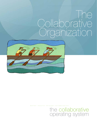## The Collaborative Organization



*better results through collaboration*

# the collaborative<br>operating system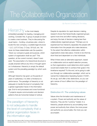## The Collaborative Organization

## *By Rachel Conerly and Tim Kelley*

Hierarchy is the most deeply embedded paradigm for leading, managing and working. Consider this: A group of people sit down to create a new business. They're discussing the usual topics – funding, a business plan, where to locate the new company, a suitable legal structure – LLC, LLP, S-Corp, C-Corp, 501(c)3, etc. Yet never do these stakeholders ask the question, "Given our company's goals and purpose, which system of organization shall we use?" This question, at the current moment, doesn't even exist. The assumption of a hierarchical structure is usually enacted without any time or thought spent on it whatsoever. Hierarchy is simply the default system and the prevailing paradigm by which work is done.

Although hierarchy has given us thousands of years of usefulness, it is often a hindrance to performance. The paradigm of hierarchy is not adequate to handle the level of complexity that a global organization faces in the information age. End-to-end processes and cross-functional IT projects require communication and decision patterns that are horizontal instead of vertical.

The paradigm of hierarchy is not adequate to handle the level of complexity that a global organization faces in the information age.

Despite its reputation for rapid decision-making, research shows that hierarchically organized groups spend more time and effort making decisions, and enjoy the task of decision-making less than collaboratively organized groups.\* Perhaps you've experienced how hierarchy separates the people with information from the people who make decisions. To the extent that effective collaboration within organizations does take place, it tends to be informal, short-lived and dependent on a few individuals.

What if there were an alternative approach, based on collaboration and an explicit selection process, so that organizations could determine which system would best enable them to achieve their goals in the timeframe required? To this end, we're going to walk you through our collaborative paradigm, which we've named the Collaborative Operating System ("COS"). As we go, we'll offer a few distinctions, so you can get a sense of how it differs from the paradigm of hierarchy.

## Distinction #1: The underlying values

Values drive the formation and maintenance of a system. Power and authority are the values of hierarchy. They are the "currency" traded. In a hierarchy, people advance by accumulating more power and authority than others; the more power and authority you accumulate, the more you can accomplish.

.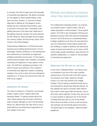In contrast, the COS is based upon the principles of ownership and alignment. We define ownership as "the degree to which people believe or feel that a process, decision, or outcome is theirs." Alignment is defined as "the degree to which people see and understand the problem, goal, or process in the same way." Ownership is like getting everyone in the same boat. Alignment is like getting everyone rowing in the same direction. As with hierarchy, these principles are the engine, the currency traded, and the primary driver of the culture in the COS paradigm.

People behave differently in a COS environment because accumulating personal power is not an advantage. Instead, proficiency in the development and maintenance of ownership and alignment enables productivity and success. For this reason, workers become adept, even masterful, at building ownership and alignment in every aspect of their work. The shift from operating according to the drive for power and authority to the cultivation of ownership and alignment creates a sweeping change in how work is done and how participants experience it. To those who practice the COS, the shift is truly magical.

## Distinction #2: Explicit

**AAAAAAAAAAAA** 

The rules of working in a "hierarchy" are primarily implicit. Implicit means "implied rather than expressly stated." In asking workers about the rules, there's always that one basic rule that all seem to grasp: Manage up; don't rile the people above you. Beyond that, the rules tend to vary a great deal from one hierarchical organization (or even leader) to the next.

## Motives and behaviors improve when they become transparent.

The Collaborative Operating System, by contrast, is an explicit system. Explicit means "fully and clearly expressed or demonstrated." As an explicit system, the COS is also transparent. Motives and behaviors improve when they become transparent. As such, the COS serves as a substantial barrier to illegal, duplicitous and other win-lose behaviors. Just as a hierarchical culture rejects people who are unwilling or unable to abide by the hierarchical values of power and authority, so too does a COS culture reject people operating in ways that are not explicitly collaborative, i.e. based on the principles of ownership and alignment.

## Distinction #3: Win-win vs. win-lose

In the movie "A Beautiful Mind," we witness what is considered to be one of the major scientific achievements of the first half of the 20th century. The physicist John Nash, played by Russell Crowe, is in a bar with several of his college buddies. They're eyeing a beautiful blonde who is accompanied by several less attractive friends. As they debate how best to proceed, Nash reasons that if each of them goes after the blonde, most or all of them will be rejected. Further, they will now be in a poor position to approach any of her friends. If instead they each ask out one of the friends, they'll all be more likely to wind up with someone, with perhaps only the blonde going home alone. This leads Nash to his revelation, called the Nash equilibrium: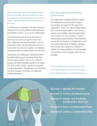*Adam Smith was wrong. Each person doesn't benefit most when he does what's in his own best interests. He benefits most when he does what's in his own interest and the interests of the group.*

In a setting we all understand, the scene depicts a resolution to the conflict between self-interest and the interests of others – true, win-win collaboration.

The hierarchical values of power and authority tend to set up a zero-sum game in which the "pie" is finite and resources are limited – such as a promotion which only one individual can win, or the fact that the number of positions in a hierarchy naturally diminishes at higher levels of the structure.

Alternatively, the Collaborative Operating System embodies Nash's ground-breaking, Nobel Prizewinning demonstration that win-win solutions produce the highest possible payoffs for all players. The COS makes a Nash equilibrium possible through transparency. Transparency is an inevitable outcome of explicit, ownership- and alignmentbuilding negotiations.

## How the Collaborative Operating System Works

The Collaborative Operating System is based on developing and evolving the principles of ownership and alignment throughout the organization. These two meta-principles lead to other critical workplace effects, such as trust, respect, accountability, personal responsibility, and of course, win-win outcomes. In order to operationalize these principles in the workplace, we use the Five Elements of Collaboration as the new, explicit framework for leading, managing, and working. Each element is a collection of carefully structured guidelines, simple templates, and training for how to operate within the new paradigm.

*The Five Elements are outlined below. We welcome any inquiry on these or any aspect of the COS. Contact us at info@theCOS.org.*

Element 1: Identify the Problem Element 2: Involve All Stakeholders Element 3: Design and Facilitate Collaborative Meetings Element 4: Form a Collaborative Team Element 5: Create a Collaborative Plan